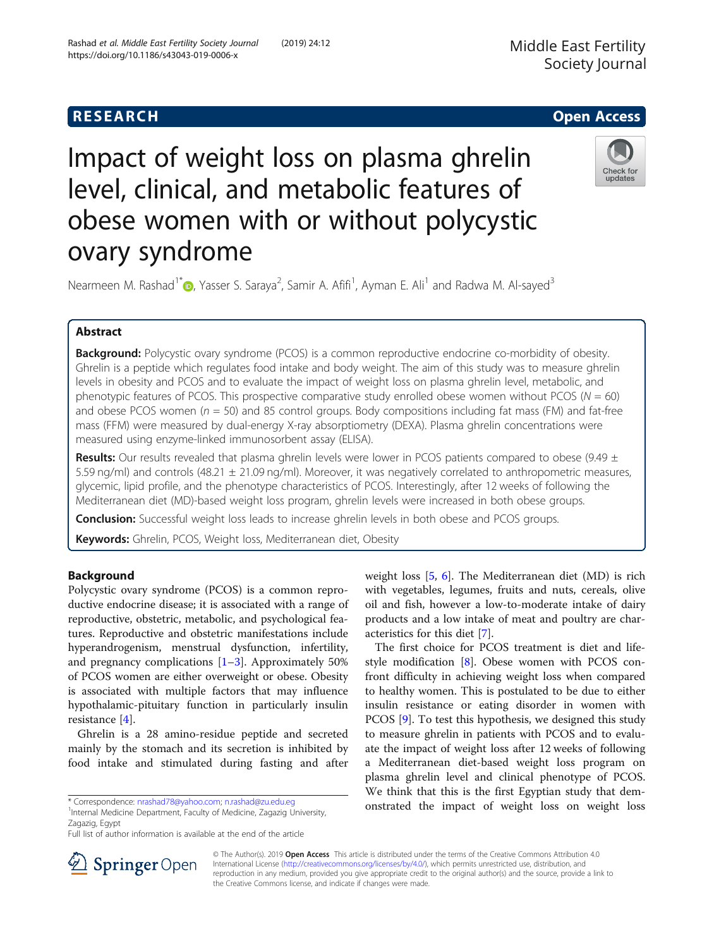# **RESEARCH CHEAR CHEAR CHEAR CHEAR CHEAR CHEAR CHEAR CHEAR CHEAR CHEAR CHEAR CHEAR CHEAR CHEAR CHEAR CHEAR CHEAR**

# Impact of weight loss on plasma ghrelin level, clinical, and metabolic features of obese women with or without polycystic ovary syndrome



Nearmeen M. Rashad<sup>1\*</sup> (D, Yasser S. Saraya<sup>2</sup>, Samir A. Afifi<sup>1</sup>, Ayman E. Ali<sup>1</sup> and Radwa M. Al-sayed<sup>3</sup>

# Abstract

**Background:** Polycystic ovary syndrome (PCOS) is a common reproductive endocrine co-morbidity of obesity. Ghrelin is a peptide which regulates food intake and body weight. The aim of this study was to measure ghrelin levels in obesity and PCOS and to evaluate the impact of weight loss on plasma ghrelin level, metabolic, and phenotypic features of PCOS. This prospective comparative study enrolled obese women without PCOS ( $N = 60$ ) and obese PCOS women ( $n = 50$ ) and 85 control groups. Body compositions including fat mass (FM) and fat-free mass (FFM) were measured by dual-energy X-ray absorptiometry (DEXA). Plasma ghrelin concentrations were measured using enzyme-linked immunosorbent assay (ELISA).

**Results:** Our results revealed that plasma ghrelin levels were lower in PCOS patients compared to obese (9.49  $\pm$ 5.59 ng/ml) and controls (48.21  $\pm$  21.09 ng/ml). Moreover, it was negatively correlated to anthropometric measures, glycemic, lipid profile, and the phenotype characteristics of PCOS. Interestingly, after 12 weeks of following the Mediterranean diet (MD)-based weight loss program, ghrelin levels were increased in both obese groups.

**Conclusion:** Successful weight loss leads to increase ghrelin levels in both obese and PCOS groups.

Keywords: Ghrelin, PCOS, Weight loss, Mediterranean diet, Obesity

# Background

Polycystic ovary syndrome (PCOS) is a common reproductive endocrine disease; it is associated with a range of reproductive, obstetric, metabolic, and psychological features. Reproductive and obstetric manifestations include hyperandrogenism, menstrual dysfunction, infertility, and pregnancy complications  $[1-3]$  $[1-3]$  $[1-3]$  $[1-3]$ . Approximately 50% of PCOS women are either overweight or obese. Obesity is associated with multiple factors that may influence hypothalamic-pituitary function in particularly insulin resistance [[4\]](#page-9-0).

Ghrelin is a 28 amino-residue peptide and secreted mainly by the stomach and its secretion is inhibited by food intake and stimulated during fasting and after

<sup>1</sup>Internal Medicine Department, Faculty of Medicine, Zagazig University, Zagazig, Egypt

Full list of author information is available at the end of the article

weight loss [[5,](#page-9-0) [6\]](#page-9-0). The Mediterranean diet (MD) is rich with vegetables, legumes, fruits and nuts, cereals, olive oil and fish, however a low-to-moderate intake of dairy products and a low intake of meat and poultry are characteristics for this diet [[7\]](#page-9-0).

The first choice for PCOS treatment is diet and lifestyle modification [\[8](#page-9-0)]. Obese women with PCOS confront difficulty in achieving weight loss when compared to healthy women. This is postulated to be due to either insulin resistance or eating disorder in women with PCOS [[9](#page-9-0)]. To test this hypothesis, we designed this study to measure ghrelin in patients with PCOS and to evaluate the impact of weight loss after 12 weeks of following a Mediterranean diet-based weight loss program on plasma ghrelin level and clinical phenotype of PCOS. We think that this is the first Egyptian study that demonstrated the impact of weight loss on weight loss



© The Author(s). 2019 Open Access This article is distributed under the terms of the Creative Commons Attribution 4.0 International License ([http://creativecommons.org/licenses/by/4.0/\)](http://creativecommons.org/licenses/by/4.0/), which permits unrestricted use, distribution, and reproduction in any medium, provided you give appropriate credit to the original author(s) and the source, provide a link to the Creative Commons license, and indicate if changes were made.

<sup>\*</sup> Correspondence: [nrashad78@yahoo.com](mailto:nrashad78@yahoo.com); [n.rashad@zu.edu.eg](mailto:n.rashad@zu.edu.eg) <sup>1</sup>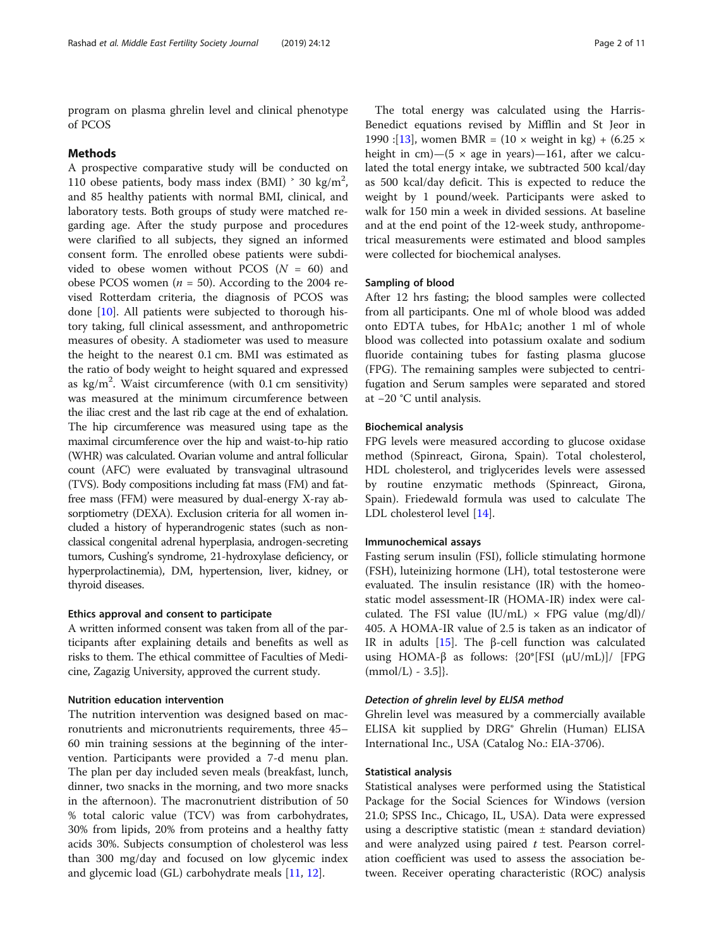program on plasma ghrelin level and clinical phenotype of PCOS

# Methods

A prospective comparative study will be conducted on 110 obese patients, body mass index (BMI)  $\degree$  30 kg/m<sup>2</sup>, and 85 healthy patients with normal BMI, clinical, and laboratory tests. Both groups of study were matched regarding age. After the study purpose and procedures were clarified to all subjects, they signed an informed consent form. The enrolled obese patients were subdivided to obese women without PCOS ( $N = 60$ ) and obese PCOS women ( $n = 50$ ). According to the 2004 revised Rotterdam criteria, the diagnosis of PCOS was done [\[10\]](#page-9-0). All patients were subjected to thorough history taking, full clinical assessment, and anthropometric measures of obesity. A stadiometer was used to measure the height to the nearest 0.1 cm. BMI was estimated as the ratio of body weight to height squared and expressed as  $\text{kg/m}^2$ . Waist circumference (with 0.1 cm sensitivity) was measured at the minimum circumference between the iliac crest and the last rib cage at the end of exhalation. The hip circumference was measured using tape as the maximal circumference over the hip and waist-to-hip ratio (WHR) was calculated. Ovarian volume and antral follicular count (AFC) were evaluated by transvaginal ultrasound (TVS). Body compositions including fat mass (FM) and fatfree mass (FFM) were measured by dual-energy X-ray absorptiometry (DEXA). Exclusion criteria for all women included a history of hyperandrogenic states (such as nonclassical congenital adrenal hyperplasia, androgen-secreting tumors, Cushing's syndrome, 21-hydroxylase deficiency, or hyperprolactinemia), DM, hypertension, liver, kidney, or thyroid diseases.

### Ethics approval and consent to participate

A written informed consent was taken from all of the participants after explaining details and benefits as well as risks to them. The ethical committee of Faculties of Medicine, Zagazig University, approved the current study.

#### Nutrition education intervention

The nutrition intervention was designed based on macronutrients and micronutrients requirements, three 45– 60 min training sessions at the beginning of the intervention. Participants were provided a 7-d menu plan. The plan per day included seven meals (breakfast, lunch, dinner, two snacks in the morning, and two more snacks in the afternoon). The macronutrient distribution of 50 % total caloric value (TCV) was from carbohydrates, 30% from lipids, 20% from proteins and a healthy fatty acids 30%. Subjects consumption of cholesterol was less than 300 mg/day and focused on low glycemic index and glycemic load (GL) carbohydrate meals [\[11,](#page-9-0) [12\]](#page-9-0).

The total energy was calculated using the Harris-Benedict equations revised by Mifflin and St Jeor in 1990 :[[13\]](#page-9-0), women BMR =  $(10 \times \text{weight in kg}) + (6.25 \times$ height in cm)—(5  $\times$  age in years)—161, after we calculated the total energy intake, we subtracted 500 kcal/day as 500 kcal/day deficit. This is expected to reduce the weight by 1 pound/week. Participants were asked to walk for 150 min a week in divided sessions. At baseline and at the end point of the 12-week study, anthropometrical measurements were estimated and blood samples were collected for biochemical analyses.

### Sampling of blood

After 12 hrs fasting; the blood samples were collected from all participants. One ml of whole blood was added onto EDTA tubes, for HbA1c; another 1 ml of whole blood was collected into potassium oxalate and sodium fluoride containing tubes for fasting plasma glucose (FPG). The remaining samples were subjected to centrifugation and Serum samples were separated and stored at −20 °C until analysis.

# Biochemical analysis

FPG levels were measured according to glucose oxidase method (Spinreact, Girona, Spain). Total cholesterol, HDL cholesterol, and triglycerides levels were assessed by routine enzymatic methods (Spinreact, Girona, Spain). Friedewald formula was used to calculate The LDL cholesterol level [[14\]](#page-9-0).

#### Immunochemical assays

Fasting serum insulin (FSI), follicle stimulating hormone (FSH), luteinizing hormone (LH), total testosterone were evaluated. The insulin resistance (IR) with the homeostatic model assessment-IR (HOMA-IR) index were calculated. The FSI value (lU/mL)  $\times$  FPG value (mg/dl)/ 405. A HOMA-IR value of 2.5 is taken as an indicator of IR in adults [\[15](#page-9-0)]. The β-cell function was calculated using HOMA-β as follows:  $\{20^*[FSI (\mu U/mL)]$  [FPG  $(mmol/L) - 3.5$ ] $\}$ .

# Detection of ghrelin level by ELISA method

Ghrelin level was measured by a commercially available ELISA kit supplied by DRG® Ghrelin (Human) ELISA International Inc., USA (Catalog No.: EIA-3706).

# Statistical analysis

Statistical analyses were performed using the Statistical Package for the Social Sciences for Windows (version 21.0; SPSS Inc., Chicago, IL, USA). Data were expressed using a descriptive statistic (mean  $\pm$  standard deviation) and were analyzed using paired  $t$  test. Pearson correlation coefficient was used to assess the association between. Receiver operating characteristic (ROC) analysis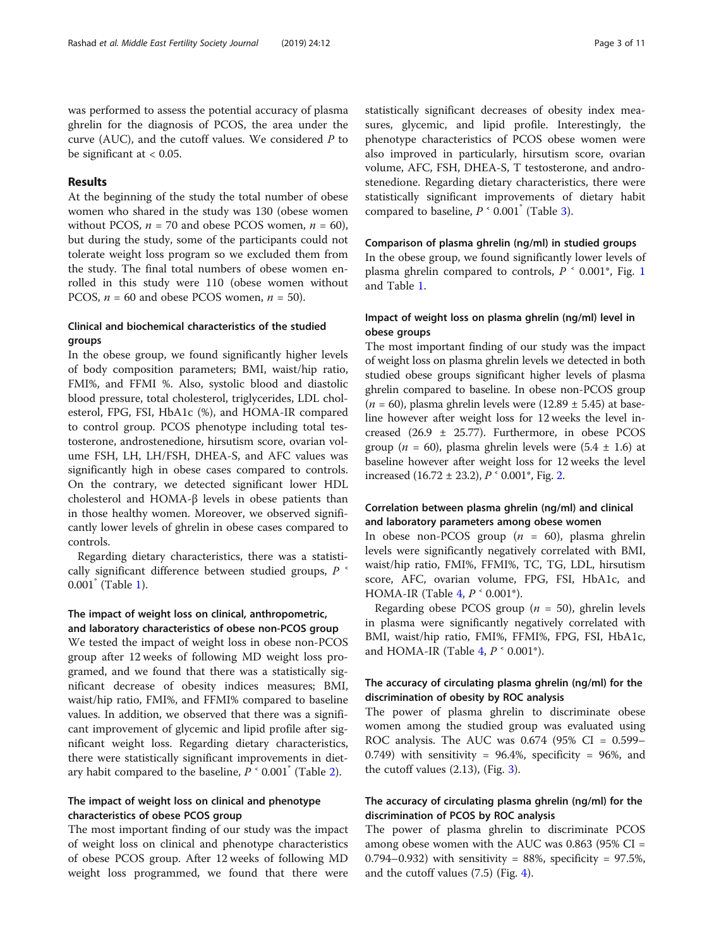was performed to assess the potential accuracy of plasma ghrelin for the diagnosis of PCOS, the area under the curve (AUC), and the cutoff values. We considered P to be significant at  $< 0.05$ .

# Results

At the beginning of the study the total number of obese women who shared in the study was 130 (obese women without PCOS,  $n = 70$  and obese PCOS women,  $n = 60$ ), but during the study, some of the participants could not tolerate weight loss program so we excluded them from the study. The final total numbers of obese women enrolled in this study were 110 (obese women without PCOS,  $n = 60$  and obese PCOS women,  $n = 50$ ).

# Clinical and biochemical characteristics of the studied groups

In the obese group, we found significantly higher levels of body composition parameters; BMI, waist/hip ratio, FMI%, and FFMI %. Also, systolic blood and diastolic blood pressure, total cholesterol, triglycerides, LDL cholesterol, FPG, FSI, HbA1c (%), and HOMA-IR compared to control group. PCOS phenotype including total testosterone, androstenedione, hirsutism score, ovarian volume FSH, LH, LH/FSH, DHEA-S, and AFC values was significantly high in obese cases compared to controls. On the contrary, we detected significant lower HDL cholesterol and HOMA-β levels in obese patients than in those healthy women. Moreover, we observed significantly lower levels of ghrelin in obese cases compared to controls.

Regarding dietary characteristics, there was a statistically significant difference between studied groups,  $P$ 0.001\* (Table [1](#page-3-0)).

# The impact of weight loss on clinical, anthropometric, and laboratory characteristics of obese non-PCOS group

We tested the impact of weight loss in obese non-PCOS group after 12 weeks of following MD weight loss programed, and we found that there was a statistically significant decrease of obesity indices measures; BMI, waist/hip ratio, FMI%, and FFMI% compared to baseline values. In addition, we observed that there was a significant improvement of glycemic and lipid profile after significant weight loss. Regarding dietary characteristics, there were statistically significant improvements in dietary habit compared to the baseline,  $P^{\text{-}}0.001^{\text{-}}$  (Table [2\)](#page-4-0).

# The impact of weight loss on clinical and phenotype characteristics of obese PCOS group

The most important finding of our study was the impact of weight loss on clinical and phenotype characteristics of obese PCOS group. After 12 weeks of following MD weight loss programmed, we found that there were statistically significant decreases of obesity index measures, glycemic, and lipid profile. Interestingly, the phenotype characteristics of PCOS obese women were also improved in particularly, hirsutism score, ovarian volume, AFC, FSH, DHEA-S, T testosterone, and androstenedione. Regarding dietary characteristics, there were statistically significant improvements of dietary habit compared to baseline,  $P^{\prime}$  0.001<sup> $^{\prime}$ </sup> (Table [3](#page-5-0)).

#### Comparison of plasma ghrelin (ng/ml) in studied groups

In the obese group, we found significantly lower levels of plasma ghrelin compared to controls,  $P \sim 0.001^*$  $P \sim 0.001^*$  $P \sim 0.001^*$ , Fig. 1 and Table [1.](#page-3-0)

# Impact of weight loss on plasma ghrelin (ng/ml) level in obese groups

The most important finding of our study was the impact of weight loss on plasma ghrelin levels we detected in both studied obese groups significant higher levels of plasma ghrelin compared to baseline. In obese non-PCOS group  $(n = 60)$ , plasma ghrelin levels were (12.89 ± 5.45) at baseline however after weight loss for 12 weeks the level increased (26.9 ± 25.77). Furthermore, in obese PCOS group ( $n = 60$ ), plasma ghrelin levels were (5.4  $\pm$  1.6) at baseline however after weight loss for 12 weeks the level increased  $(16.72 \pm 23.2)$  $(16.72 \pm 23.2)$  $(16.72 \pm 23.2)$ ,  $P^{\text{-}}0.001^{\text{*}}$ , Fig. 2.

# Correlation between plasma ghrelin (ng/ml) and clinical and laboratory parameters among obese women

In obese non-PCOS group  $(n = 60)$ , plasma ghrelin levels were significantly negatively correlated with BMI, waist/hip ratio, FMI%, FFMI%, TC, TG, LDL, hirsutism score, AFC, ovarian volume, FPG, FSI, HbA1c, and HOMA-IR (Table [4,](#page-7-0)  $P \text{ }^{\circ}$  0.001<sup>\*</sup>).

Regarding obese PCOS group ( $n = 50$ ), ghrelin levels in plasma were significantly negatively correlated with BMI, waist/hip ratio, FMI%, FFMI%, FPG, FSI, HbA1c, and HOMA-IR (Table [4,](#page-7-0)  $P \text{ }^{\circ}$  0.001<sup>\*</sup>).

# The accuracy of circulating plasma ghrelin (ng/ml) for the discrimination of obesity by ROC analysis

The power of plasma ghrelin to discriminate obese women among the studied group was evaluated using ROC analysis. The AUC was  $0.674$  (95% CI =  $0.599-$ 0.749) with sensitivity =  $96.4\%$ , specificity =  $96\%$ , and the cutoff values  $(2.13)$  $(2.13)$ , (Fig. 3).

# The accuracy of circulating plasma ghrelin (ng/ml) for the discrimination of PCOS by ROC analysis

The power of plasma ghrelin to discriminate PCOS among obese women with the AUC was 0.863 (95% CI = 0.794–0.932) with sensitivity =  $88\%$ , specificity =  $97.5\%$ , and the cutoff values (7.5) (Fig. [4\)](#page-8-0).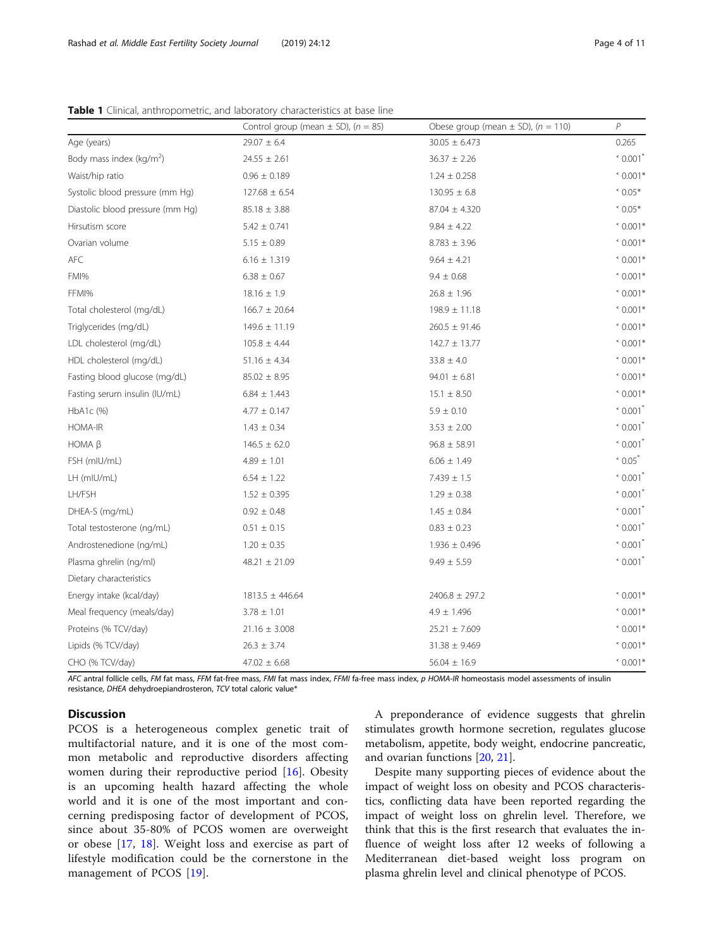<span id="page-3-0"></span>Table 1 Clinical, anthropometric, and laboratory characteristics at base line

|                                  | Control group (mean $\pm$ SD), (n = 85) | Obese group (mean $\pm$ SD), (n = 110) | P                           |
|----------------------------------|-----------------------------------------|----------------------------------------|-----------------------------|
| Age (years)                      | $29.07 \pm 6.4$                         | $30.05 \pm 6.473$                      | 0.265                       |
| Body mass index ( $kg/m2$ )      | $24.55 \pm 2.61$                        | $36.37 \pm 2.26$                       | < 0.001                     |
| Waist/hip ratio                  | $0.96 \pm 0.189$                        | $1.24 \pm 0.258$                       | $0.001*$                    |
| Systolic blood pressure (mm Hg)  | $127.68 \pm 6.54$                       | $130.95 \pm 6.8$                       | $0.05*$                     |
| Diastolic blood pressure (mm Hg) | $85.18 \pm 3.88$                        | $87.04 \pm 4.320$                      | $0.05*$                     |
| Hirsutism score                  | $5.42 \pm 0.741$                        | $9.84 \pm 4.22$                        | $0.001*$                    |
| Ovarian volume                   | $5.15 \pm 0.89$                         | $8.783 \pm 3.96$                       | $0.001*$                    |
| AFC                              | $6.16 \pm 1.319$                        | $9.64 \pm 4.21$                        | $0.001*$                    |
| FMI%                             | $6.38 \pm 0.67$                         | $9.4 \pm 0.68$                         | $0.001*$                    |
| FFMI%                            | $18.16 \pm 1.9$                         | $26.8 \pm 1.96$                        | $0.001*$                    |
| Total cholesterol (mg/dL)        | $166.7 \pm 20.64$                       | $198.9 \pm 11.18$                      | $0.001*$                    |
| Triglycerides (mg/dL)            | $149.6 \pm 11.19$                       | $260.5 \pm 91.46$                      | $0.001*$                    |
| LDL cholesterol (mg/dL)          | $105.8 \pm 4.44$                        | $142.7 \pm 13.77$                      | $0.001*$                    |
| HDL cholesterol (mg/dL)          | $51.16 \pm 4.34$                        | $33.8 \pm 4.0$                         | $0.001*$                    |
| Fasting blood glucose (mg/dL)    | $85.02 \pm 8.95$                        | $94.01 \pm 6.81$                       | $0.001*$                    |
| Fasting serum insulin (IU/mL)    | $6.84 \pm 1.443$                        | $15.1 \pm 8.50$                        | $0.001*$                    |
| HbA1c (%)                        | $4.77 \pm 0.147$                        | $5.9 \pm 0.10$                         | $^{\circ}$ 0.001 $^{\circ}$ |
| <b>HOMA-IR</b>                   | $1.43 \pm 0.34$                         | $3.53 \pm 2.00$                        | $^{\circ}$ 0.001 $^{\circ}$ |
| HOMA $\beta$                     | $146.5 \pm 62.0$                        | $96.8 \pm 58.91$                       | $\degree$ 0.001 $\degree$   |
| FSH (mIU/mL)                     | $4.89 \pm 1.01$                         | $6.06 \pm 1.49$                        | $\degree$ 0.05 $\degree$    |
| LH (mIU/mL)                      | $6.54 \pm 1.22$                         | $7.439 \pm 1.5$                        | $\degree$ 0.001 $\degree$   |
| LH/FSH                           | $1.52 \pm 0.395$                        | $1.29 \pm 0.38$                        | $^{\circ}$ 0.001 $^{\circ}$ |
| DHEA-S (mg/mL)                   | $0.92 \pm 0.48$                         | $1.45 \pm 0.84$                        |                             |
| Total testosterone (ng/mL)       | $0.51 \pm 0.15$                         | $0.83 \pm 0.23$                        |                             |
| Androstenedione (ng/mL)          | $1.20 \pm 0.35$                         | $1.936 \pm 0.496$                      | $^{\circ}$ 0.001 $^{\circ}$ |
| Plasma ghrelin (ng/ml)           | $48.21 \pm 21.09$                       | $9.49 \pm 5.59$                        | < 0.001                     |
| Dietary characteristics          |                                         |                                        |                             |
| Energy intake (kcal/day)         | $1813.5 \pm 446.64$                     | $2406.8 \pm 297.2$                     | $0.001*$                    |
| Meal frequency (meals/day)       | $3.78 \pm 1.01$                         | $4.9 \pm 1.496$                        | $0.001*$                    |
| Proteins (% TCV/day)             | $21.16 \pm 3.008$                       | $25.21 \pm 7.609$                      | $0.001*$                    |
| Lipids (% TCV/day)               | $26.3 \pm 3.74$                         | $31.38 \pm 9.469$                      | $0.001*$                    |
| CHO (% TCV/day)                  | $47.02 \pm 6.68$                        | $56.04 \pm 16.9$                       | $0.001*$                    |

lls, FM fat mass, FFM fat-free mass, FMI fat mass index, FFMI fa-free mass index, p HOMA-IR homeostasis model assessments of insulin resistance, DHEA dehydroepiandrosteron, TCV total caloric value\*

# **Discussion**

PCOS is a heterogeneous complex genetic trait of multifactorial nature, and it is one of the most common metabolic and reproductive disorders affecting women during their reproductive period [[16\]](#page-9-0). Obesity is an upcoming health hazard affecting the whole world and it is one of the most important and concerning predisposing factor of development of PCOS, since about 35-80% of PCOS women are overweight or obese [[17,](#page-9-0) [18](#page-9-0)]. Weight loss and exercise as part of lifestyle modification could be the cornerstone in the management of PCOS [[19\]](#page-9-0).

A preponderance of evidence suggests that ghrelin stimulates growth hormone secretion, regulates glucose metabolism, appetite, body weight, endocrine pancreatic, and ovarian functions [[20,](#page-9-0) [21\]](#page-9-0).

Despite many supporting pieces of evidence about the impact of weight loss on obesity and PCOS characteristics, conflicting data have been reported regarding the impact of weight loss on ghrelin level. Therefore, we think that this is the first research that evaluates the influence of weight loss after 12 weeks of following a Mediterranean diet-based weight loss program on plasma ghrelin level and clinical phenotype of PCOS.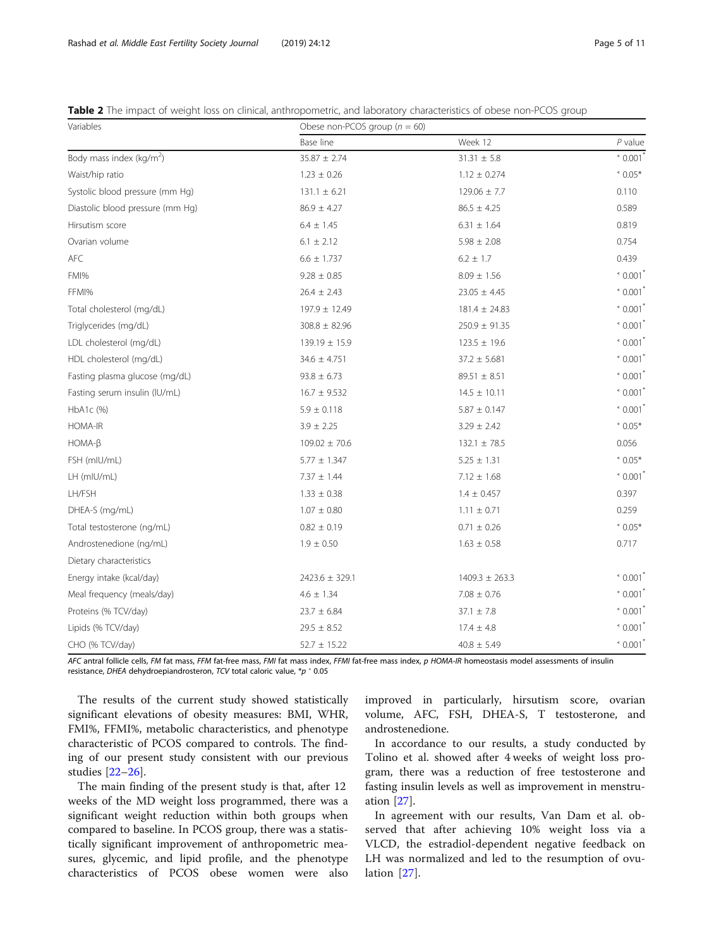<span id="page-4-0"></span>Table 2 The impact of weight loss on clinical, anthropometric, and laboratory characteristics of obese non-PCOS group

| Variables                            | Obese non-PCOS group ( $n = 60$ ) |                    |                                                   |  |  |
|--------------------------------------|-----------------------------------|--------------------|---------------------------------------------------|--|--|
|                                      | Base line                         | Week 12            | $P$ value                                         |  |  |
| Body mass index (kg/m <sup>2</sup> ) | $35.87 \pm 2.74$                  | $31.31\,\pm\,5.8$  | $^{\circ}$ 0.001                                  |  |  |
| Waist/hip ratio                      | $1.23 \pm 0.26$                   | $1.12 \pm 0.274$   | $0.05*$                                           |  |  |
| Systolic blood pressure (mm Hg)      | $131.1 \pm 6.21$                  | $129.06 \pm 7.7$   | 0.110                                             |  |  |
| Diastolic blood pressure (mm Hg)     | $86.9 \pm 4.27$                   | $86.5 \pm 4.25$    | 0.589                                             |  |  |
| Hirsutism score                      | $6.4 \pm 1.45$                    | $6.31 \pm 1.64$    | 0.819                                             |  |  |
| Ovarian volume                       | $6.1 \pm 2.12$                    | $5.98 \pm 2.08$    | 0.754                                             |  |  |
| AFC                                  | $6.6 \pm 1.737$                   | $6.2 \pm 1.7$      | 0.439                                             |  |  |
| FMI%                                 | $9.28 \pm 0.85$                   | $8.09 \pm 1.56$    | $^{\circ}$ 0.001                                  |  |  |
| FFMI%                                | $26.4 \pm 2.43$                   | $23.05 \pm 4.45$   | $^{\circ}$ 0.001                                  |  |  |
| Total cholesterol (mg/dL)            | $197.9 \pm 12.49$                 | $181.4 \pm 24.83$  | $\degree$ 0.001                                   |  |  |
| Triglycerides (mg/dL)                | $308.8 \pm 82.96$                 | $250.9 \pm 91.35$  | $^{\circ}$ 0.001                                  |  |  |
| LDL cholesterol (mg/dL)              | $139.19 \pm 15.9$                 | $123.5 \pm 19.6$   | $^{\circ}$ 0.001                                  |  |  |
| HDL cholesterol (mg/dL)              | $34.6 \pm 4.751$                  | $37.2 \pm 5.681$   | $^{\circ}$ 0.001                                  |  |  |
| Fasting plasma glucose (mg/dL)       | $93.8 \pm 6.73$                   | $89.51 \pm 8.51$   | $^{\circ}$ 0.001                                  |  |  |
| Fasting serum insulin (IU/mL)        | $16.7 \pm 9.532$                  | $14.5 \pm 10.11$   | $^{\circ}$ 0.001 <sup>'</sup>                     |  |  |
| HbA1c (%)                            | $5.9 \pm 0.118$                   | $5.87 \pm 0.147$   | $\degree$ 0.001                                   |  |  |
| HOMA-IR                              | $3.9 \pm 2.25$                    | $3.29 \pm 2.42$    | $*0.05*$                                          |  |  |
| $HOMA-B$                             | $109.02 \pm 70.6$                 | $132.1 \pm 78.5$   | 0.056                                             |  |  |
| FSH (mIU/mL)                         | $5.77 \pm 1.347$                  | $5.25 \pm 1.31$    | $0.05*$                                           |  |  |
| LH (mIU/mL)                          | $7.37 \pm 1.44$                   | $7.12 \pm 1.68$    | $^{\circ}$ 0.001 <sup><math>^{\circ}</math></sup> |  |  |
| LH/FSH                               | $1.33 \pm 0.38$                   | $1.4 \pm 0.457$    | 0.397                                             |  |  |
| DHEA-S (mg/mL)                       | $1.07 \pm 0.80$                   | $1.11 \pm 0.71$    | 0.259                                             |  |  |
| Total testosterone (ng/mL)           | $0.82 \pm 0.19$                   | $0.71 \pm 0.26$    | $0.05*$                                           |  |  |
| Androstenedione (ng/mL)              | $1.9 \pm 0.50$                    | $1.63 \pm 0.58$    | 0.717                                             |  |  |
| Dietary characteristics              |                                   |                    |                                                   |  |  |
| Energy intake (kcal/day)             | $2423.6 \pm 329.1$                | $1409.3 \pm 263.3$ | $^{\circ}$ 0.001                                  |  |  |
| Meal frequency (meals/day)           | $4.6 \pm 1.34$                    | $7.08 \pm 0.76$    | $^{\circ}$ 0.001                                  |  |  |
| Proteins (% TCV/day)                 | $23.7 \pm 6.84$                   | $37.1 \pm 7.8$     | $\degree$ 0.001                                   |  |  |
| Lipids (% TCV/day)                   | $29.5 \pm 8.52$                   | $17.4 \pm 4.8$     | $^{\circ}$ 0.001                                  |  |  |
| CHO (% TCV/day)                      | $52.7 \pm 15.22$                  | $40.8 \pm 5.49$    | $^{\circ}$ 0.001 <sup>'</sup>                     |  |  |

AFC antral follicle cells, FM fat mass, FFM fat-free mass, FMI fat mass index, FFMI fat-free mass index, p HOMA-IR homeostasis model assessments of insulin resistance, DHEA dehydroepiandrosteron, TCV total caloric value, \*p ˂ 0.05

The results of the current study showed statistically significant elevations of obesity measures: BMI, WHR, FMI%, FFMI%, metabolic characteristics, and phenotype characteristic of PCOS compared to controls. The finding of our present study consistent with our previous studies [\[22](#page-9-0)–[26\]](#page-10-0).

The main finding of the present study is that, after 12 weeks of the MD weight loss programmed, there was a significant weight reduction within both groups when compared to baseline. In PCOS group, there was a statistically significant improvement of anthropometric measures, glycemic, and lipid profile, and the phenotype characteristics of PCOS obese women were also improved in particularly, hirsutism score, ovarian volume, AFC, FSH, DHEA-S, T testosterone, and androstenedione.

In accordance to our results, a study conducted by Tolino et al. showed after 4 weeks of weight loss program, there was a reduction of free testosterone and fasting insulin levels as well as improvement in menstruation [\[27](#page-10-0)].

In agreement with our results, Van Dam et al. observed that after achieving 10% weight loss via a VLCD, the estradiol-dependent negative feedback on LH was normalized and led to the resumption of ovulation [[27\]](#page-10-0).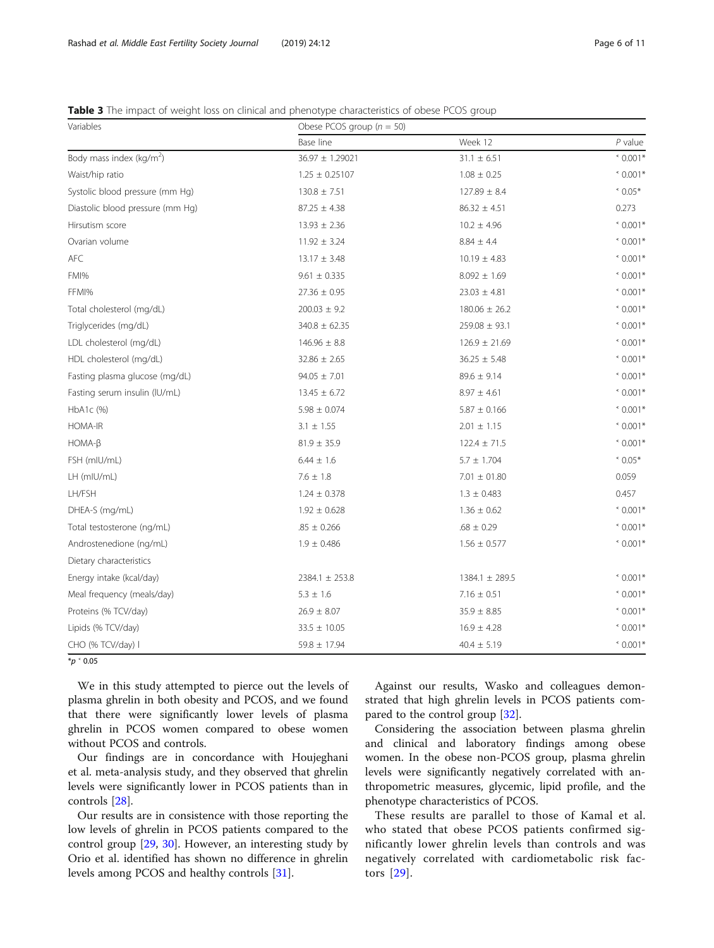<span id="page-5-0"></span>Table 3 The impact of weight loss on clinical and phenotype characteristics of obese PCOS group

| Variables                        | Obese PCOS group ( $n = 50$ ) |                    |                  |  |  |
|----------------------------------|-------------------------------|--------------------|------------------|--|--|
|                                  | Base line                     | Week 12            | $P$ value        |  |  |
| Body mass index ( $kg/m2$ )      | 36.97 ± 1.29021               | $31.1 \pm 6.51$    | $0.001*$         |  |  |
| Waist/hip ratio                  | $1.25 \pm 0.25107$            | $1.08 \pm 0.25$    | $0.001*$         |  |  |
| Systolic blood pressure (mm Hg)  | $130.8 \pm 7.51$              | $127.89 \pm 8.4$   | $^*$ 0.05 $*$    |  |  |
| Diastolic blood pressure (mm Hg) | $87.25 \pm 4.38$              | $86.32 \pm 4.51$   | 0.273            |  |  |
| Hirsutism score                  | $13.93 \pm 2.36$              | $10.2 \pm 4.96$    | $0.001*$         |  |  |
| Ovarian volume                   | $11.92 \pm 3.24$              | $8.84 \pm 4.4$     | $0.001*$         |  |  |
| AFC                              | $13.17 \pm 3.48$              | $10.19 \pm 4.83$   | $0.001*$         |  |  |
| FMI%                             | $9.61 \pm 0.335$              |                    | $0.001*$         |  |  |
| FFMI%                            | $27.36 \pm 0.95$              | $23.03 \pm 4.81$   | $0.001*$         |  |  |
| Total cholesterol (mg/dL)        | $200.03 \pm 9.2$              | $180.06 \pm 26.2$  | $\degree$ 0.001* |  |  |
| Triglycerides (mg/dL)            | $340.8 \pm 62.35$             | $259.08 \pm 93.1$  | $\degree$ 0.001* |  |  |
| LDL cholesterol (mg/dL)          | $146.96 \pm 8.8$              | $126.9 \pm 21.69$  | $0.001*$         |  |  |
| HDL cholesterol (mg/dL)          | $32.86 \pm 2.65$              | $36.25 \pm 5.48$   | $0.001*$         |  |  |
| Fasting plasma glucose (mg/dL)   | $94.05 \pm 7.01$              | $89.6 \pm 9.14$    | $0.001*$         |  |  |
| Fasting serum insulin (IU/mL)    | $13.45 \pm 6.72$              | $8.97 \pm 4.61$    | $0.001*$         |  |  |
| HbA1c (%)                        | $5.98 \pm 0.074$              | $5.87 \pm 0.166$   | $0.001*$         |  |  |
| HOMA-IR                          | $3.1 \pm 1.55$                | $2.01 \pm 1.15$    | $\degree$ 0.001* |  |  |
| $HOMA-B$                         | $81.9 \pm 35.9$               | $122.4 \pm 71.5$   | $0.001*$         |  |  |
| FSH (mIU/mL)                     | $6.44 \pm 1.6$                | $5.7 \pm 1.704$    | $^*$ 0.05 $*$    |  |  |
| LH (mIU/mL)                      | $7.6 \pm 1.8$                 | $7.01\,\pm\,01.80$ | 0.059            |  |  |
| LH/FSH                           | $1.24 \pm 0.378$              | $1.3 \pm 0.483$    | 0.457            |  |  |
| DHEA-S (mg/mL)                   | $1.92 \pm 0.628$              | $1.36 \pm 0.62$    | $0.001*$         |  |  |
| Total testosterone (ng/mL)       | $.85 \pm 0.266$               | $.68 \pm 0.29$     | $0.001*$         |  |  |
| Androstenedione (ng/mL)          | $1.9 \pm 0.486$               | $1.56 \pm 0.577$   | $0.001*$         |  |  |
| Dietary characteristics          |                               |                    |                  |  |  |
| Energy intake (kcal/day)         | $2384.1 \pm 253.8$            | $1384.1 \pm 289.5$ | $0.001*$         |  |  |
| Meal frequency (meals/day)       | $5.3 \pm 1.6$                 | $7.16 \pm 0.51$    | $0.001*$         |  |  |
| Proteins (% TCV/day)             | $26.9 \pm 8.07$               | $35.9 \pm 8.85$    | $0.001*$         |  |  |
| Lipids (% TCV/day)               | $33.5 \pm 10.05$              | $16.9 \pm 4.28$    | $0.001*$         |  |  |
| CHO (% TCV/day) I                | $59.8 \pm 17.94$              | $40.4 \pm 5.19$    | $\degree$ 0.001* |  |  |

 $*_{p}$   $*$  0.05

We in this study attempted to pierce out the levels of plasma ghrelin in both obesity and PCOS, and we found that there were significantly lower levels of plasma ghrelin in PCOS women compared to obese women without PCOS and controls.

Our findings are in concordance with Houjeghani et al. meta-analysis study, and they observed that ghrelin levels were significantly lower in PCOS patients than in controls [\[28\]](#page-10-0).

Our results are in consistence with those reporting the low levels of ghrelin in PCOS patients compared to the control group [\[29,](#page-10-0) [30](#page-10-0)]. However, an interesting study by Orio et al. identified has shown no difference in ghrelin levels among PCOS and healthy controls [\[31\]](#page-10-0).

Against our results, Wasko and colleagues demonstrated that high ghrelin levels in PCOS patients compared to the control group [\[32\]](#page-10-0).

Considering the association between plasma ghrelin and clinical and laboratory findings among obese women. In the obese non-PCOS group, plasma ghrelin levels were significantly negatively correlated with anthropometric measures, glycemic, lipid profile, and the phenotype characteristics of PCOS.

These results are parallel to those of Kamal et al. who stated that obese PCOS patients confirmed significantly lower ghrelin levels than controls and was negatively correlated with cardiometabolic risk factors [[29\]](#page-10-0).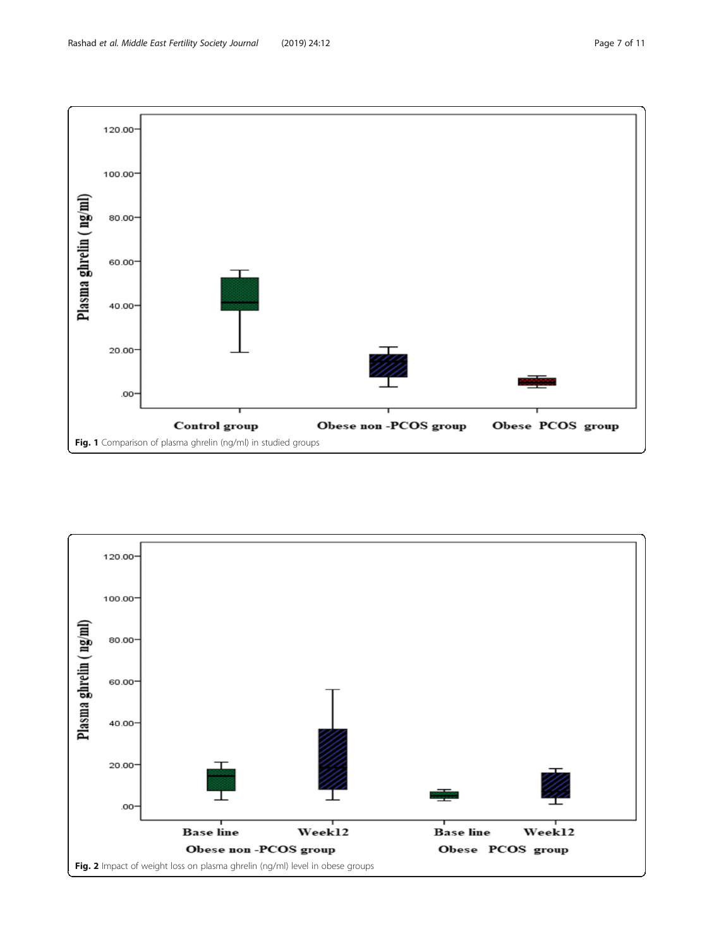<span id="page-6-0"></span>

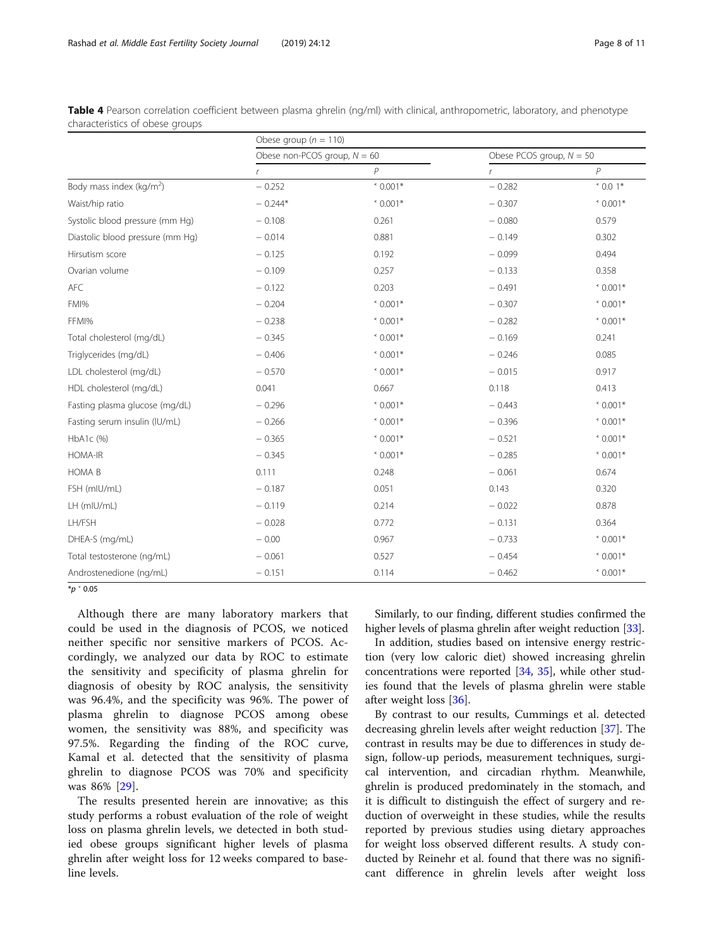<span id="page-7-0"></span>

| Table 4 Pearson correlation coefficient between plasma ghrelin (ng/ml) with clinical, anthropometric, laboratory, and phenotype |  |  |  |  |
|---------------------------------------------------------------------------------------------------------------------------------|--|--|--|--|
| characteristics of obese groups                                                                                                 |  |  |  |  |

|                                  | Obese group ( $n = 110$ )      |                  |                            |          |  |  |
|----------------------------------|--------------------------------|------------------|----------------------------|----------|--|--|
|                                  | Obese non-PCOS group, $N = 60$ |                  | Obese PCOS group, $N = 50$ |          |  |  |
|                                  | $\mathbf{r}$                   | P                | $\mathsf{r}$               | P        |  |  |
| Body mass index ( $kg/m2$ )      | $-0.252$                       | $0.001*$         | $-0.282$                   | $0.01*$  |  |  |
| Waist/hip ratio                  | $-0.244*$                      | $0.001*$         | $-0.307$                   | $0.001*$ |  |  |
| Systolic blood pressure (mm Hg)  | $-0.108$                       | 0.261            | $-0.080$                   | 0.579    |  |  |
| Diastolic blood pressure (mm Hg) | $-0.014$                       | 0.881            | $-0.149$                   | 0.302    |  |  |
| Hirsutism score                  | $-0.125$                       | 0.192            | $-0.099$                   | 0.494    |  |  |
| Ovarian volume                   | $-0.109$                       | 0.257            | $-0.133$                   | 0.358    |  |  |
| AFC                              | $-0.122$                       | 0.203            | $-0.491$                   | $0.001*$ |  |  |
| FMI%                             | $-0.204$                       | $0.001*$         | $-0.307$                   | $0.001*$ |  |  |
| FFMI%                            | $-0.238$                       | $0.001*$         | $-0.282$                   | $0.001*$ |  |  |
| Total cholesterol (mg/dL)        | $-0.345$                       | $0.001*$         | $-0.169$                   | 0.241    |  |  |
| Triglycerides (mg/dL)            | $-0.406$                       | $0.001*$         | $-0.246$                   | 0.085    |  |  |
| LDL cholesterol (mg/dL)          | $-0.570$                       | $0.001*$         | $-0.015$                   | 0.917    |  |  |
| HDL cholesterol (mg/dL)          | 0.041                          | 0.667            | 0.118                      | 0.413    |  |  |
| Fasting plasma glucose (mg/dL)   | $-0.296$                       | $0.001*$         | $-0.443$                   | $0.001*$ |  |  |
| Fasting serum insulin (IU/mL)    | $-0.266$                       | $0.001*$         | $-0.396$                   | $0.001*$ |  |  |
| HbA1c (%)                        | $-0.365$                       | $0.001*$         | $-0.521$                   | $0.001*$ |  |  |
| <b>HOMA-IR</b>                   | $-0.345$                       | $\degree$ 0.001* | $-0.285$                   | $0.001*$ |  |  |
| HOMA B                           | 0.111                          | 0.248            | $-0.061$                   | 0.674    |  |  |
| FSH (mIU/mL)                     | $-0.187$                       | 0.051            | 0.143                      | 0.320    |  |  |
| LH (mIU/mL)                      | $-0.119$                       | 0.214            | $-0.022$                   | 0.878    |  |  |
| LH/FSH                           | $-0.028$                       | 0.772            | $-0.131$                   | 0.364    |  |  |
| DHEA-S (mg/mL)                   | $-0.00$                        | 0.967            | $-0.733$                   | $0.001*$ |  |  |
| Total testosterone (ng/mL)       | $-0.061$                       | 0.527            | $-0.454$                   | $0.001*$ |  |  |
| Androstenedione (ng/mL)          | $-0.151$                       | 0.114            | $-0.462$                   | $0.001*$ |  |  |

 $*_{p}$   $*$  0.05

Although there are many laboratory markers that could be used in the diagnosis of PCOS, we noticed neither specific nor sensitive markers of PCOS. Accordingly, we analyzed our data by ROC to estimate the sensitivity and specificity of plasma ghrelin for diagnosis of obesity by ROC analysis, the sensitivity was 96.4%, and the specificity was 96%. The power of plasma ghrelin to diagnose PCOS among obese women, the sensitivity was 88%, and specificity was 97.5%. Regarding the finding of the ROC curve, Kamal et al. detected that the sensitivity of plasma ghrelin to diagnose PCOS was 70% and specificity was 86% [[29](#page-10-0)].

The results presented herein are innovative; as this study performs a robust evaluation of the role of weight loss on plasma ghrelin levels, we detected in both studied obese groups significant higher levels of plasma ghrelin after weight loss for 12 weeks compared to baseline levels.

Similarly, to our finding, different studies confirmed the higher levels of plasma ghrelin after weight reduction [[33](#page-10-0)].

In addition, studies based on intensive energy restriction (very low caloric diet) showed increasing ghrelin concentrations were reported [\[34,](#page-10-0) [35](#page-10-0)], while other studies found that the levels of plasma ghrelin were stable after weight loss [\[36](#page-10-0)].

By contrast to our results, Cummings et al. detected decreasing ghrelin levels after weight reduction [\[37](#page-10-0)]. The contrast in results may be due to differences in study design, follow-up periods, measurement techniques, surgical intervention, and circadian rhythm. Meanwhile, ghrelin is produced predominately in the stomach, and it is difficult to distinguish the effect of surgery and reduction of overweight in these studies, while the results reported by previous studies using dietary approaches for weight loss observed different results. A study conducted by Reinehr et al. found that there was no significant difference in ghrelin levels after weight loss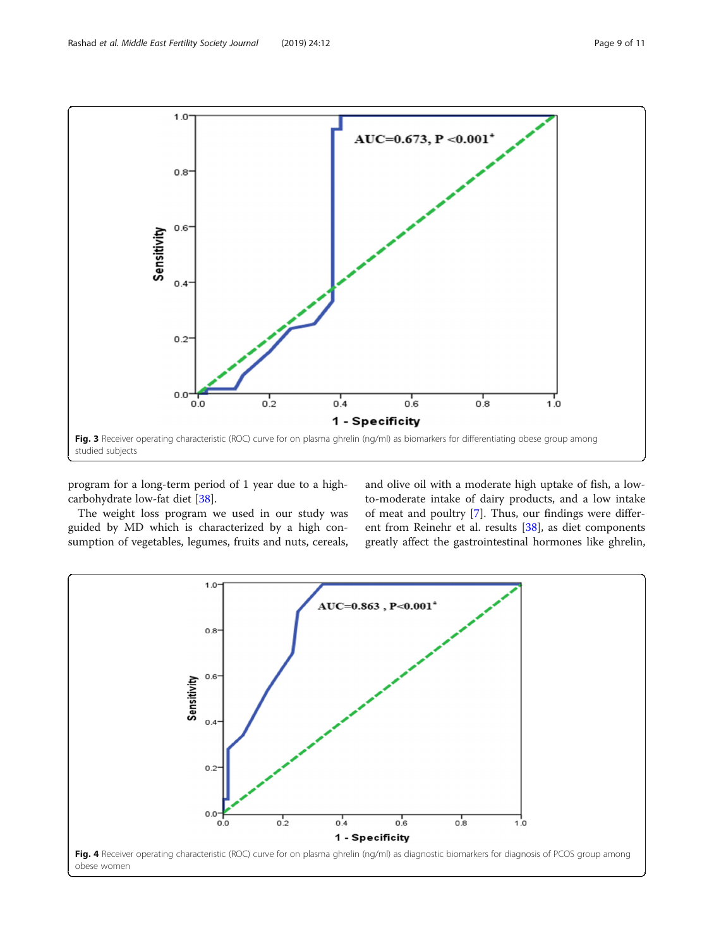<span id="page-8-0"></span>

program for a long-term period of 1 year due to a highcarbohydrate low-fat diet [[38\]](#page-10-0).

The weight loss program we used in our study was guided by MD which is characterized by a high consumption of vegetables, legumes, fruits and nuts, cereals,

and olive oil with a moderate high uptake of fish, a lowto-moderate intake of dairy products, and a low intake of meat and poultry [\[7](#page-9-0)]. Thus, our findings were different from Reinehr et al. results [\[38](#page-10-0)], as diet components greatly affect the gastrointestinal hormones like ghrelin,

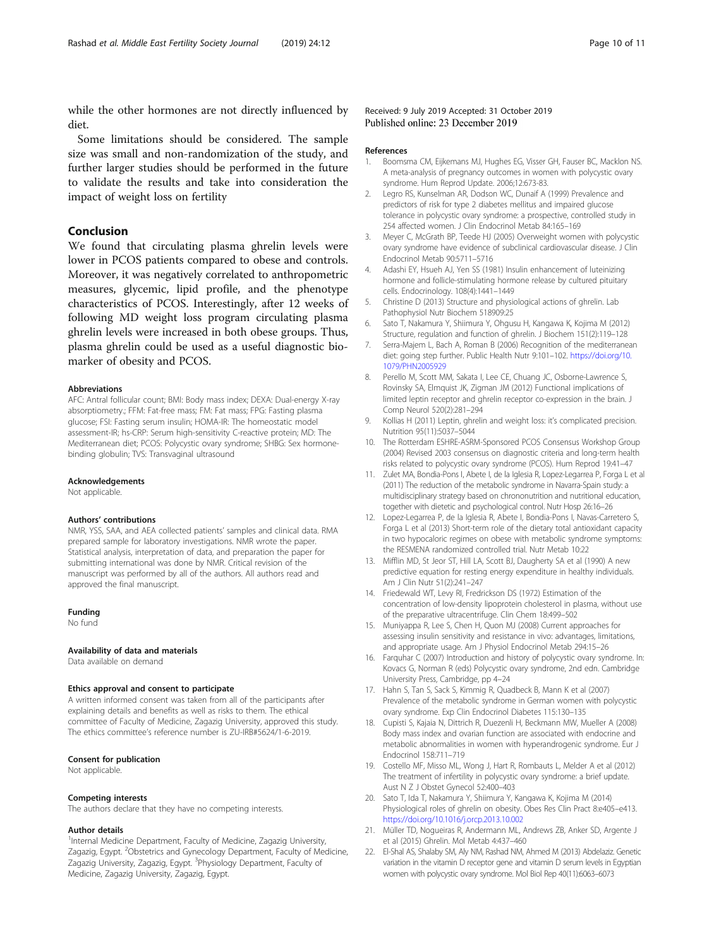<span id="page-9-0"></span>while the other hormones are not directly influenced by diet.

Some limitations should be considered. The sample size was small and non-randomization of the study, and further larger studies should be performed in the future to validate the results and take into consideration the impact of weight loss on fertility

# Conclusion

We found that circulating plasma ghrelin levels were lower in PCOS patients compared to obese and controls. Moreover, it was negatively correlated to anthropometric measures, glycemic, lipid profile, and the phenotype characteristics of PCOS. Interestingly, after 12 weeks of following MD weight loss program circulating plasma ghrelin levels were increased in both obese groups. Thus, plasma ghrelin could be used as a useful diagnostic biomarker of obesity and PCOS.

#### Abbreviations

AFC: Antral follicular count; BMI: Body mass index; DEXA: Dual-energy X-ray absorptiometry.; FFM: Fat-free mass; FM: Fat mass; FPG: Fasting plasma glucose; FSI: Fasting serum insulin; HOMA-IR: The homeostatic model assessment-IR; hs-CRP: Serum high-sensitivity C-reactive protein; MD: The Mediterranean diet; PCOS: Polycystic ovary syndrome; SHBG: Sex hormonebinding globulin; TVS: Transvaginal ultrasound

#### **Acknowledgements**

Not applicable.

#### Authors' contributions

NMR, YSS, SAA, and AEA collected patients' samples and clinical data. RMA prepared sample for laboratory investigations. NMR wrote the paper. Statistical analysis, interpretation of data, and preparation the paper for submitting international was done by NMR. Critical revision of the manuscript was performed by all of the authors. All authors read and approved the final manuscript.

#### Funding

No fund

#### Availability of data and materials

Data available on demand

#### Ethics approval and consent to participate

A written informed consent was taken from all of the participants after explaining details and benefits as well as risks to them. The ethical committee of Faculty of Medicine, Zagazig University, approved this study. The ethics committee's reference number is ZU-IRB#5624/1-6-2019.

#### Consent for publication

Not applicable.

#### Competing interests

The authors declare that they have no competing interests.

#### Author details

<sup>1</sup>Internal Medicine Department, Faculty of Medicine, Zagazig University, Zagazig, Egypt. <sup>2</sup>Obstetrics and Gynecology Department, Faculty of Medicine, Zagazig University, Zagazig, Egypt. <sup>3</sup>Physiology Department, Faculty of Medicine, Zagazig University, Zagazig, Egypt.

#### Received: 9 July 2019 Accepted: 31 October 2019 Published online: 23 December 2019

#### References

- 1. Boomsma CM, Eijkemans MJ, Hughes EG, Visser GH, Fauser BC, Macklon NS. A meta-analysis of pregnancy outcomes in women with polycystic ovary syndrome. Hum Reprod Update. 2006;12:673-83.
- 2. Legro RS, Kunselman AR, Dodson WC, Dunaif A (1999) Prevalence and predictors of risk for type 2 diabetes mellitus and impaired glucose tolerance in polycystic ovary syndrome: a prospective, controlled study in 254 affected women. J Clin Endocrinol Metab 84:165–169
- 3. Meyer C, McGrath BP, Teede HJ (2005) Overweight women with polycystic ovary syndrome have evidence of subclinical cardiovascular disease. J Clin Endocrinol Metab 90:5711–5716
- 4. Adashi EY, Hsueh AJ, Yen SS (1981) Insulin enhancement of luteinizing hormone and follicle-stimulating hormone release by cultured pituitary cells. Endocrinology. 108(4):1441–1449
- 5. Christine D (2013) Structure and physiological actions of ghrelin. Lab Pathophysiol Nutr Biochem 518909:25
- 6. Sato T, Nakamura Y, Shiimura Y, Ohgusu H, Kangawa K, Kojima M (2012) Structure, regulation and function of ghrelin. J Biochem 151(2):119–128
- 7. Serra-Majem L, Bach A, Roman B (2006) Recognition of the mediterranean diet: going step further. Public Health Nutr 9:101–102. [https://doi.org/10.](https://doi.org/10.1079/PHN2005929) [1079/PHN2005929](https://doi.org/10.1079/PHN2005929)
- 8. Perello M, Scott MM, Sakata I, Lee CE, Chuang JC, Osborne-Lawrence S, Rovinsky SA, Elmquist JK, Zigman JM (2012) Functional implications of limited leptin receptor and ghrelin receptor co-expression in the brain. J Comp Neurol 520(2):281–294
- 9. Kollias H (2011) Leptin, ghrelin and weight loss: it's complicated precision. Nutrition 95(11):5037–5044
- 10. The Rotterdam ESHRE-ASRM-Sponsored PCOS Consensus Workshop Group (2004) Revised 2003 consensus on diagnostic criteria and long-term health risks related to polycystic ovary syndrome (PCOS). Hum Reprod 19:41–47
- 11. Zulet MA, Bondia-Pons I, Abete I, de la Iglesia R, Lopez-Legarrea P, Forga L et al (2011) The reduction of the metabolic syndrome in Navarra-Spain study: a multidisciplinary strategy based on chrononutrition and nutritional education, together with dietetic and psychological control. Nutr Hosp 26:16–26
- 12. Lopez-Legarrea P, de la Iglesia R, Abete I, Bondia-Pons I, Navas-Carretero S, Forga L et al (2013) Short-term role of the dietary total antioxidant capacity in two hypocaloric regimes on obese with metabolic syndrome symptoms: the RESMENA randomized controlled trial. Nutr Metab 10:22
- 13. Mifflin MD, St Jeor ST, Hill LA, Scott BJ, Daugherty SA et al (1990) A new predictive equation for resting energy expenditure in healthy individuals. Am J Clin Nutr 51(2):241–247
- 14. Friedewald WT, Levy RI, Fredrickson DS (1972) Estimation of the concentration of low-density lipoprotein cholesterol in plasma, without use of the preparative ultracentrifuge. Clin Chem 18:499–502
- 15. Muniyappa R, Lee S, Chen H, Quon MJ (2008) Current approaches for assessing insulin sensitivity and resistance in vivo: advantages, limitations, and appropriate usage. Am J Physiol Endocrinol Metab 294:15–26
- 16. Farquhar C (2007) Introduction and history of polycystic ovary syndrome. In: Kovacs G, Norman R (eds) Polycystic ovary syndrome, 2nd edn. Cambridge University Press, Cambridge, pp 4–24
- 17. Hahn S, Tan S, Sack S, Kimmig R, Quadbeck B, Mann K et al (2007) Prevalence of the metabolic syndrome in German women with polycystic ovary syndrome. Exp Clin Endocrinol Diabetes 115:130–135
- 18. Cupisti S, Kajaia N, Dittrich R, Duezenli H, Beckmann MW, Mueller A (2008) Body mass index and ovarian function are associated with endocrine and metabolic abnormalities in women with hyperandrogenic syndrome. Eur J Endocrinol 158:711–719
- 19. Costello MF, Misso ML, Wong J, Hart R, Rombauts L, Melder A et al (2012) The treatment of infertility in polycystic ovary syndrome: a brief update. Aust N Z J Obstet Gynecol 52:400–403
- 20. Sato T, Ida T, Nakamura Y, Shiimura Y, Kangawa K, Kojima M (2014) Physiological roles of ghrelin on obesity. Obes Res Clin Pract 8:e405–e413. <https://doi.org/10.1016/j.orcp.2013.10.002>
- 21. Müller TD, Nogueiras R, Andermann ML, Andrews ZB, Anker SD, Argente J et al (2015) Ghrelin. Mol Metab 4:437–460
- 22. El-Shal AS, Shalaby SM, Aly NM, Rashad NM, Ahmed M (2013) Abdelaziz. Genetic variation in the vitamin D receptor gene and vitamin D serum levels in Egyptian women with polycystic ovary syndrome. Mol Biol Rep 40(11):6063–6073